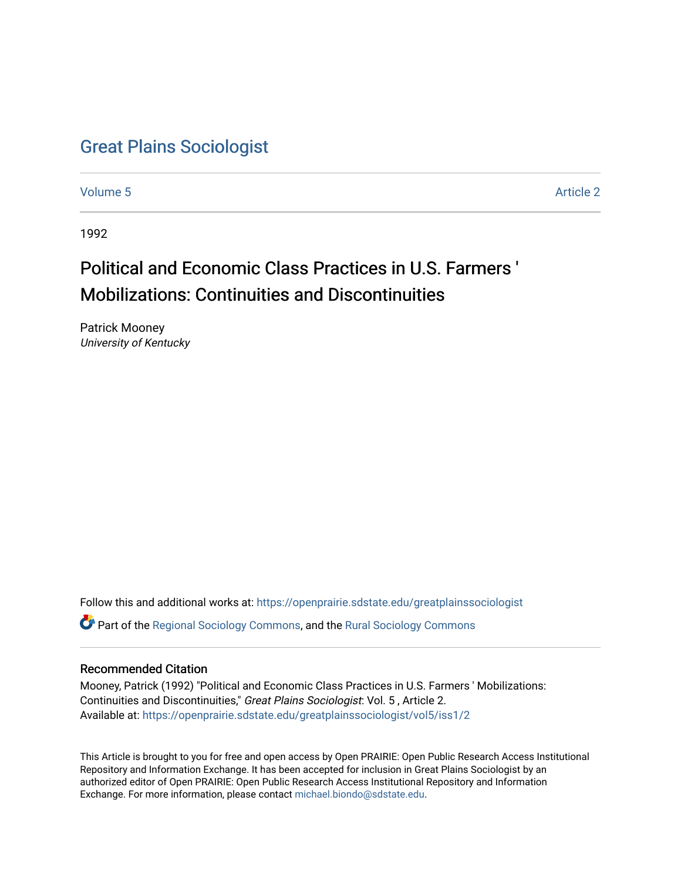## [Great Plains Sociologist](https://openprairie.sdstate.edu/greatplainssociologist)

[Volume 5](https://openprairie.sdstate.edu/greatplainssociologist/vol5) Article 2

1992

# Political and Economic Class Practices in U.S. Farmers ' Mobilizations: Continuities and Discontinuities

Patrick Mooney University of Kentucky

Follow this and additional works at: [https://openprairie.sdstate.edu/greatplainssociologist](https://openprairie.sdstate.edu/greatplainssociologist?utm_source=openprairie.sdstate.edu%2Fgreatplainssociologist%2Fvol5%2Fiss1%2F2&utm_medium=PDF&utm_campaign=PDFCoverPages) 

Part of the [Regional Sociology Commons](http://network.bepress.com/hgg/discipline/427?utm_source=openprairie.sdstate.edu%2Fgreatplainssociologist%2Fvol5%2Fiss1%2F2&utm_medium=PDF&utm_campaign=PDFCoverPages), and the [Rural Sociology Commons](http://network.bepress.com/hgg/discipline/428?utm_source=openprairie.sdstate.edu%2Fgreatplainssociologist%2Fvol5%2Fiss1%2F2&utm_medium=PDF&utm_campaign=PDFCoverPages) 

## Recommended Citation

Mooney, Patrick (1992) "Political and Economic Class Practices in U.S. Farmers ' Mobilizations: Continuities and Discontinuities," Great Plains Sociologist: Vol. 5 , Article 2. Available at: [https://openprairie.sdstate.edu/greatplainssociologist/vol5/iss1/2](https://openprairie.sdstate.edu/greatplainssociologist/vol5/iss1/2?utm_source=openprairie.sdstate.edu%2Fgreatplainssociologist%2Fvol5%2Fiss1%2F2&utm_medium=PDF&utm_campaign=PDFCoverPages) 

This Article is brought to you for free and open access by Open PRAIRIE: Open Public Research Access Institutional Repository and Information Exchange. It has been accepted for inclusion in Great Plains Sociologist by an authorized editor of Open PRAIRIE: Open Public Research Access Institutional Repository and Information Exchange. For more information, please contact [michael.biondo@sdstate.edu.](mailto:michael.biondo@sdstate.edu)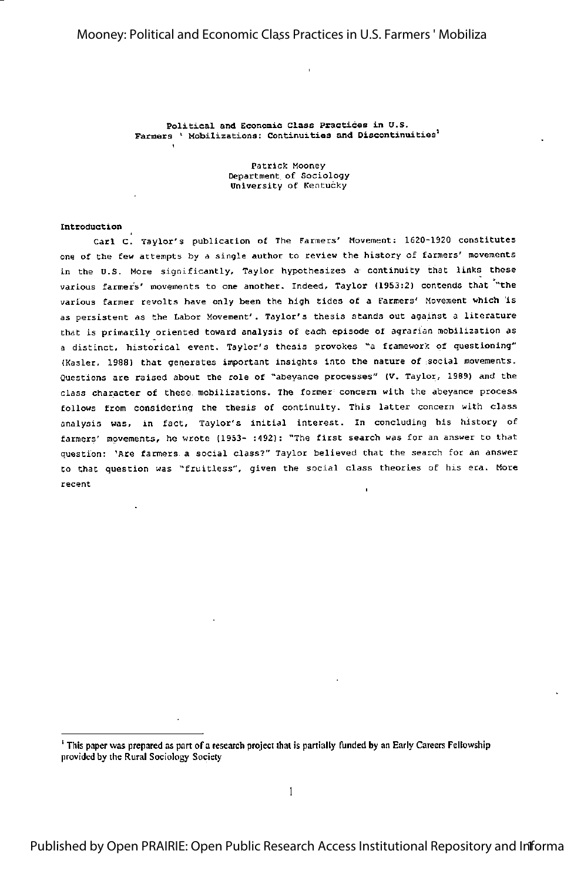## Mooney: Political and Economic Class Practices in U.S. Farmers ' Mobiliza

Political and Economic Class Practices in U.S. Farmers ' Mobilizations: Continuities and Discontinuities'

> Patrick Mooney Department of Sociology University of Kentucky

#### Introduction

Carl C. Taylor's publication of The Farmers' Movement: 1620-1920 constitutes one of Che few attempts by a single author to review the history of farmers' movements in the U.S. More significantly, Taylor hypothesizes a continuity that links these various farmers' movements to one another. Indeed, Taylor (1953:2) contends that "the various farmer revolts have only been the high tides of a Farmers' Movement which 'is as persistent as the Labor Movement'. Taylor's thesis stands out against a literature that is primarily oriented Coward analysis of each episode of agrarian mobilization as <sup>a</sup> distinct, historical event. Taylor's thesis provokes "a framework of questioning" (Kasler, 1988) that generates important insights into the nature of social movements. Questions are raised about the role of "abeyance processes" (V. Taylor, 1989) and the class character of these mobilizations. The former concern with the abeyance process follows from considering the thesis of continuity. This latter concern with class analysis was, in fact, Taylor's initial interest. In concluding his history of farmers' movements, he wrote (1953- :492): "The first search was for an answer to that question: 'Are farmers a social class?" Taylor believed that the search for an answer to that question was "fruitless", given the social class theories of his eta. More recent

<sup>&</sup>lt;sup>1</sup> This paper was prepared as part of a research project that is partially funded by an Early Careers Fellowship provided by the Rural Sociology Society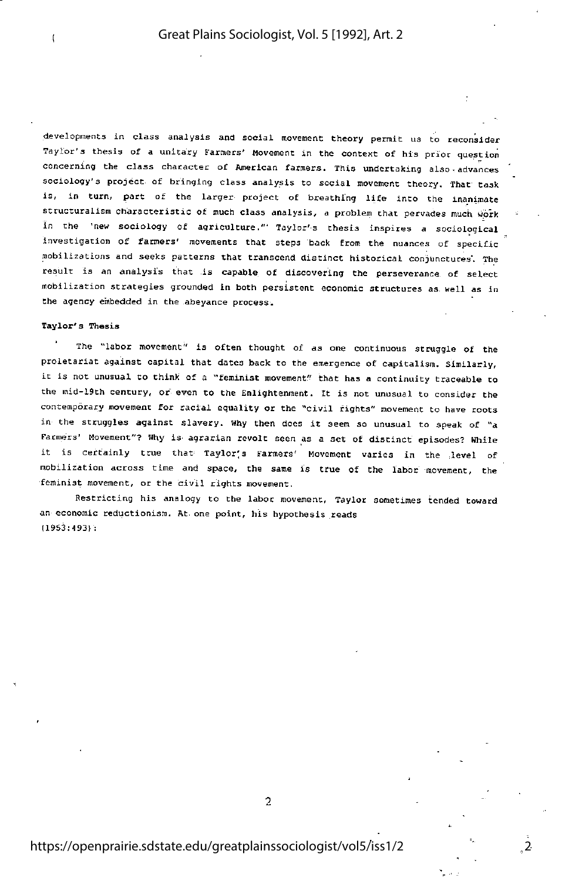developments in class analysis and social movement theory permit us to reconsider Taylor's thesis of a unitary Farmers' Movement in the context of his prior question concerning the class character of American farmers. This undertaking also - advances sociology's project of bringing class analysis to social movement theory. That task is, in turn, part of the larger project of breathing life into the inanimate structuralism characteristic of much class analysis, a problem chat pervades much work in Che 'new sociology of agriculture.'" Taylor's thesis inspires a sociological investigation of farmers' movements that steps back from the nuances of specific mobilizations and seeks patterns that transcend distinct historical conjunctures'. The result is an analysis that is capable of discovering the perseverance of select mobilization strategies grounded in both persistent economic structures as well as in the agency embedded in the abeyance process.

#### Taylor's Thesis

 $\overline{1}$ 

The "labor movement" is often thought of as one continuous struggle of the proletariat against capital that daces back to the emergence of capitalism. Similarly, it is not unusual to think of a "feminist movement" that has a continuity traceable to the mid-19th century, or even to the Enlightenment. It is not unusual to consider the contemporary movement for racial equality or the "civil fights" movement to have roots in Che struggles against slavery. Why then does it seem so unusual to speak of "a Farmers' Movement"? Why is agrarian revolt seen as a set of distinct episodes? While it is certainly true that Taylor's Farmers' Movement varies in the level of mobilization across time and space, the same is true of Che labor movement, Che feminist movement, or the civil rights movement.

Restricting his analogy to the labor movement, Taylor sometimes tended toward an economic reductionism. At one point, his hypothesis reads (1953;493):

2

https://openprairie.sdstate.edu/greatplainssociologist/vol5/iss1/2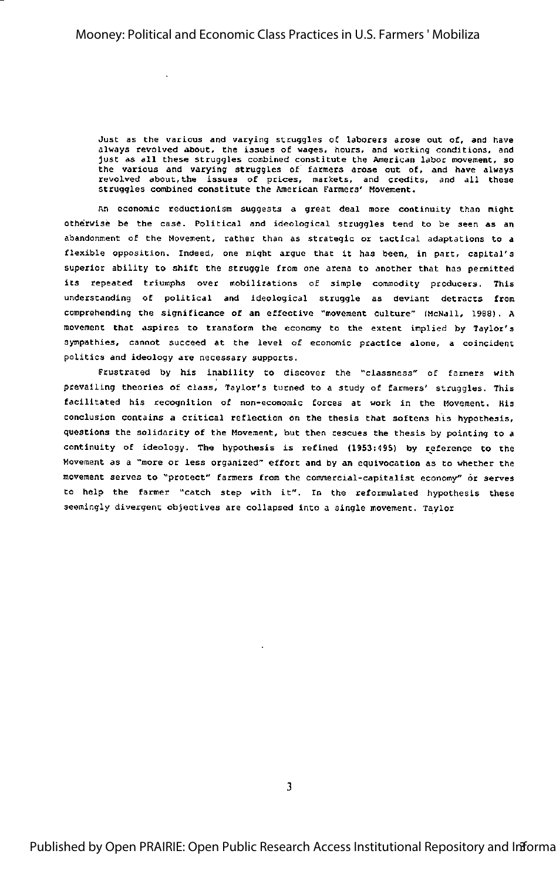Jusc as Che various and varying struggles of laborers arose out of, and have always revolved about. Che issues of wages, hours, and working conditions, and ]usc as all these struggles combined constitute Che American labor movement, so Che various and varying struggles of farmers arose out of, and have always revolved about,the Issues of prices, markets, and credits, and all these struggles combined constitute the American Farmers' Movement.

An economic reductionism suggests a great deal more continuity Chan might otherwise be the case. Political and ideological struggles tend to be seen as an abandonment of the Movement, rather Chan as strategic or tactical adaptations to a flexible opposition. Indeed, one might argue that It has been, in part, capital's superior ability to shift the struggle from one arena to another that has permitted its repeated triumphs over mobilizations of simple commodity producers. This understanding of political and ideological struggle as deviant detracts from comprehending the significance of an effective "movement culture" (McNall, 1908). <sup>A</sup> movement that aspires to transform the economy to the extent implied by Taylor's sympathies, cannot succeed at the level of economic practice alone, <sup>a</sup> coincident politics and ideology ace necessary supports.

Frustrated by his inability to discover the "classness" of farmers with prevailing theories of class, Taylor's turned to a study of farmers' struggles. This facilitated his recognition of non-economic forces at work in the Movement. His conclusion contains a critical reflection on the thesis that softens his hypothesis, questions the solidarity of the Movement, but then rescues the thesis by pointing to a continuity of ideology. The hypothesis is refined (1953:495) by reference to the Movement as a "more or less organized" effort and by an equivocation as to whether the movement serves to "protect" farmers from the commercial-capitalist economy" or serves to help the farmer "catch step with it". In the reformulated hypothesis these seemingly divergent objectives are collapsed into a single movement. Taylor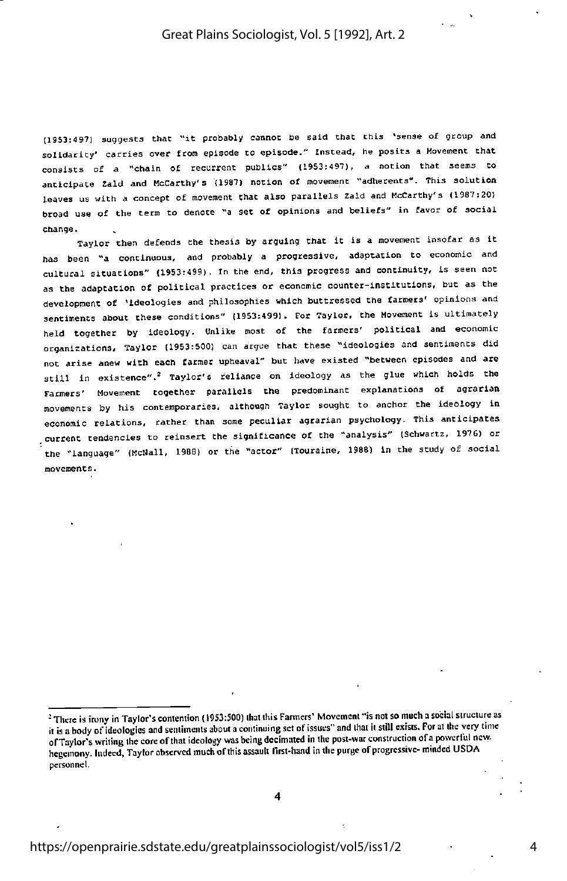(1953:497) suggescs that "it probably cannot be said that this 'sense of group and solidarity\* carries over from episode to episode." Instead, he posits a Movement that consists of a "chain of recurrent publics" (1953:497), a notion that seems to anticipate 2ald and McCarthy's (1987) notion of movement "adherents". This solution leaves us with a concept of movement that also parallels Zald and McCarthy's (1987:20) broad use of the term to denote "a set of opinions and beliefs" in favor of social change.

Taylor then defends the thesis by arguing that it is a movement insofar as it has been "a continuous, and probably a progressive, adaptation to economic and cultural situations" (1953:499). In the end, this progress and continuity, is seen not as the adaptation of political practices or economic counter-institutions, but as the development of 'ideologies and philosophies which buttressed the farmers' opinions and sentiments about these conditions" (1953:499). For Taylor, the Movement is ultimately<br>hald together by ideplogy, Unlike most of the farmers' political and economic held together by ideology. Unlike most of the farmers' organizations, Taylor (1953:500) can argue that these "ideologies and sentiments did not arise anew with each farmer upheaval" but have existed "between episodes and are still in existence".<sup>2</sup> Taylor's reliance on ideology as the glue which holds the<br>Essente' Meyement, together parallels, the predominant explanations of agrarian Farmers' Movement together parallels the predominant explanations of movements by his contemporaries, although Taylor sought to anchor the ideology in economic relations, rather than some peculiar agrarian psychology. This anticipates current tendencies to reinsert the significance of the "analysis" (Schwartz, 1976) or the "language" (McNall, 1988) or the "actor" (Touraine, 1988) in the study of social movements.

<sup>&</sup>lt;sup>2</sup> There is irony in Taylor's contention (1953:500) that this Farmers' Movement "is not so much a social structure as it is abody of ideologies and sentiments about acontinuing set of issues" and that it still exists. For at the very time of Taylor's writing the core of that ideology was being decimated in the post-war construction of a powerful new hegemony. Indeed, Taylor observed much of this assault first-hand in the purge of progressive- minded USDA personnel.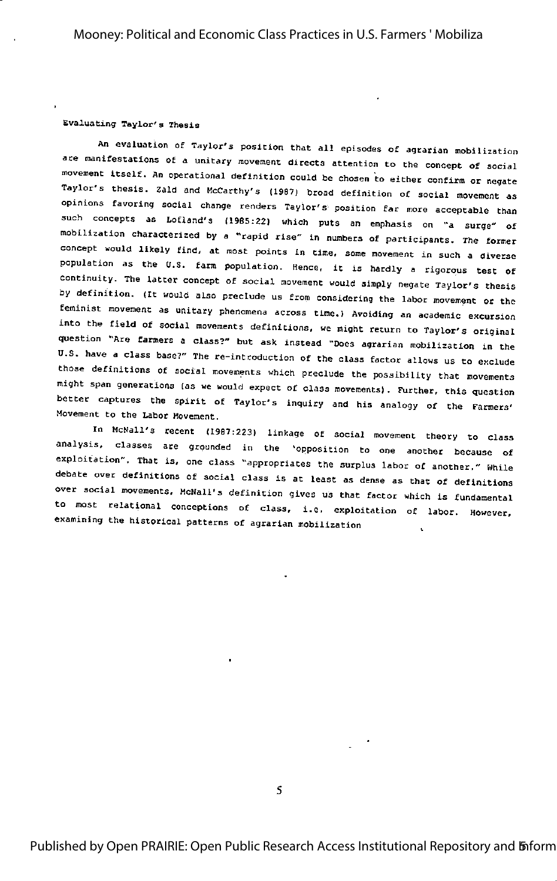## Evaluating Taylor's Thesis

An evaluation of Taylor's position that all episodes of agrarian mobilization ace manifestations of a unitary movement directs attention to the concept of social movement itself. An operational definition could be chosen 'to either confirm or negate Taylor's thesis. Zald and McCarthy's (1987) broad definition of social movement as opinions favoring social change renders Taylor's position far more acceptable than such concepts as Lofland's (1965:22) which puts an emphasis on "a surge" of mobilization characterized by a "rapid rise" in numbers of participants. The former concept would likely find, at most points in time, some movement in such a diverse population as the U.S. farm population. Hence, it is hardly a rigorous test of continuity. The latter concept of social movement would simply negate Taylor's thesis by definition. (It would also preclude us from considering the labor movement or the feminist movement as unitary phenomena across time.) Avoiding an academic' excursion into the field of social movements definitions, we might return to Taylor's original question "Are farmers a class?" but ask instead "Does agrarian mobilization in the U.S. have a class base?" The re-introduction of the class factor allows us to exclude those definitions of social movements which preclude the possibility that movements might span generations (as we would expect of class movements). Further, this question better captures the spirit of Taylor's inquiry and his analogy of the Farmers' Movement to the Labor Movement.

in McKall'3 recent (1987:223) linkage of social movement theory to class analysis, classes ace grounded in the 'opposition to one another because of exploitation". That is. one class "appropriates the surplus labor of another." While debate over definitions of social class is at least as dense as that of definitions over social movements. McWall's definition gives us that factor which is fundamental to most relational conceptions of class, i.e. exploitation of labor. However, examining the historical patterns of agrarian mobilization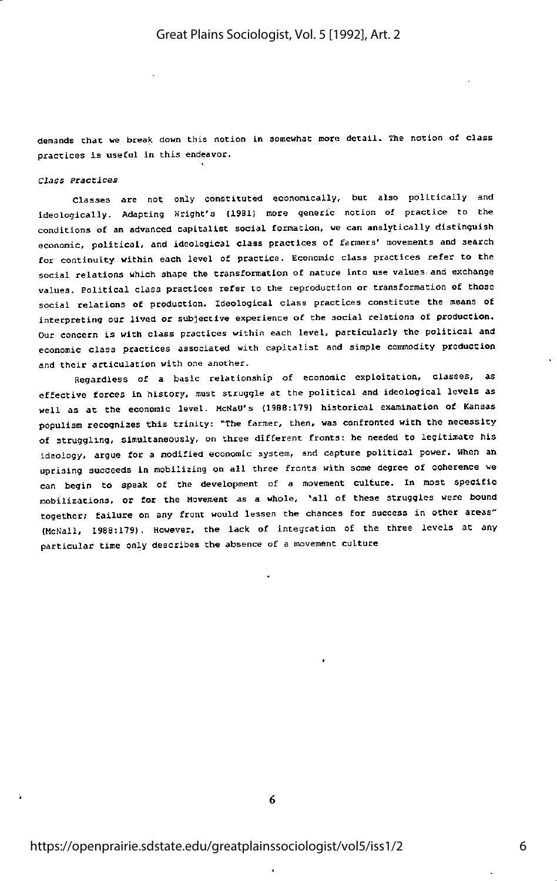demands chat we break down this notion in somewhat more detail. The notion of class practices is useful in this endeavor.

#### Class Practices

Classes are not only constituted economically, but also politically and ideologically. Adapting Wright's (1931) more generic notion of practice to Che conditions of an advanced capitalist social formation, we can analytically distinguish economic, political, and ideological class practices of farmers' movements and search for continuity within each level of practice. Economic class practices refer to the social relations which shape the transformation of nature into use values and exchange values. Political class practices refer to the reproduction or transformation of those social relations of production. Ideological class practices constitute the means of interpreting our lived or subjective experience of the social relations of production. Our concern is with class practices within each level, particularly the political and economic class practices associated with capitalist and simple commodity production and their articulation with one another.

Regardless of a basic relationship of economic exploitation, classes, as effective forces in history, must struggle at the political and ideological levels as well as at the economic level. McNaU's (1988:179) historical examination of Kansas populism recognizes this trinity: "The farmer, then, was confronted with the necessity of struggling, simultaneously, on three different fronts; he needed to legitimate his ideology, argue for a modified economic system, and capture political power. When an uprising succeeds in mobilizing on all three fronts with some degree of coherence we can begin to speak of the development of a movement culture. In most specific mobilizations, or for the Movement as a whole, 'all of these struggles were bound together; failure on any front would lessen the chances for success in other areas" (McNall, 1988:179). However, the lack of integration of the three levels at any particular time only describes the absence of a movement culture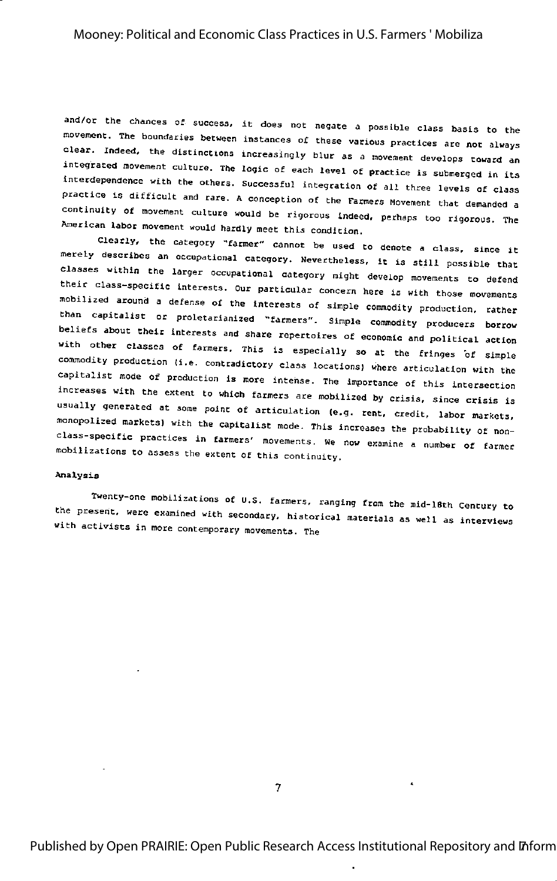## Mooney: Political and Economic Class Practices in U.S. Farmers ' Mobiliza

and/or the chances of success, it does not negate a possible class basis to the movement. The boundaries between instances of these various practices are not always<br>clear. Indeed, the distinctions increasingly blur as a movement develops toward an integrated movement culture. The logic of each level of practice is submerged in its interdependence with the others. Successful integration of all three levels of class practice is difficult and rare. A conception of the Farmers Movement that demanded a continuity of movement culture would be rigorous indeed, perhaps too rigorous. The American labor movement would hardly meet this condition.

Clearly, the category "farmer" cannot be used to denote a class, since it merely describes an occupational category. Nevertheless, it is still possible that classes within the larger occupational category might develop movements to defend their class-specific interests. Our particular concern here is with those movements mobilized around a defense of the interests of simple commodity production, rather than capitalist or proletarianized "farmers". Simple commodity producers borrow beliefs about their interests and share repertoires of economic and political action with other classes of farmers. This is especially so at the fringes of simple commodity production (i.e. contradictory class locations) where articulation with the capitalist mode of production is more intense. The importance of this intersection increases with the extent to which farmers are mobilized by crisis, since crisis is usually generated at some point of articulation (e.g. rent, credit, labor markets, monopolized markets) with the capitalist mode. This increases the probability of nonclass-specific practices in farmers' movements. We now examine a number of farmer mobilizations to assess the extent of this continuity.

#### Analysis

Twenty-one mobilizations of U.S. farmers, ranging from the mid-lBth Century to fhe present, were examined with secondary, historical materials as well as interviews with activists in more contemporary movements. The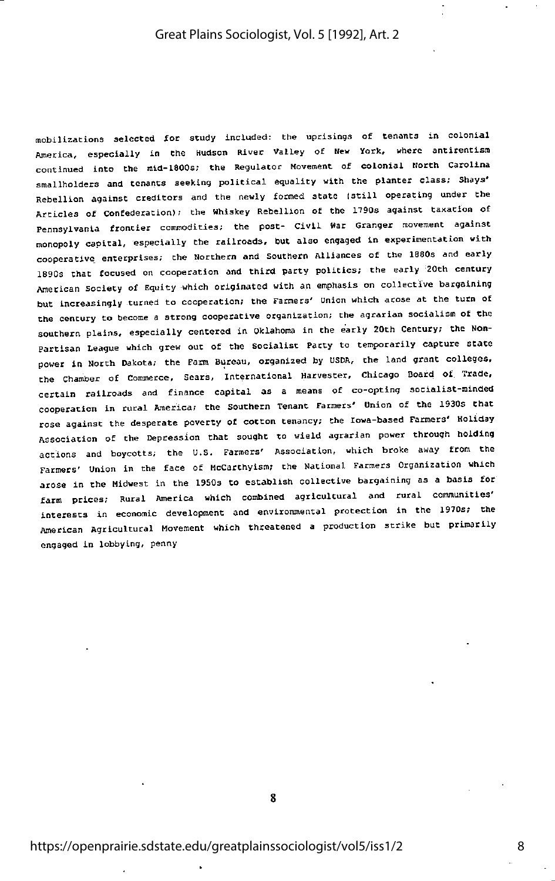mobilizacions selected for study included: the uprisings of tenants in colonial America, especially in Che Hudson River Valley of New York, where ancirentisni continued into the mld-1800s; the Regulator Movement of colonial North Carolina smallholders and tenants seeking political equality with the planter class; Shays' Rebellion against creditors and the newly formed state (still operating under the Articles of Confederation); the Whiskey Rebellion of the 1790s against taxacion of Pennsylvania frontier commodities; the post- Civil War Granger movement against monopoly capital, especially Che railroads, but also engaged in experimentation with cooperative enterprises; the Northern and Southern Alliances of the 1860s and early 1890s chat focused on cooperation and third party politics; the early 20th century American Society of Equity which originated with an emphasis on collective bargaining but increasingly turned to cooperation; the Farmers' Union which arose at the turn of the century to become a strong cooperative organization; the agrarian socialism of the southern plains, especially centered in Oklahoma in the early 20ch Century; the Non-Partisan League which grew out of the Socialist Party to temporarily capture state power in North Dakota; the Farm Bureau, organized by USDA, the land grant colleges, Che Chamber of Commerce, Sears, International Harvester, Chicago Board of. Trade, certain railroads and finance capital as a means of co-opting socialist-minded cooperation in rural America; the Southern Tenant Farmers' Union of the 1930s that rose against the desperate poverty of cotton tenancy; Che Iowa-based Farmers' Holiday Association of the Depression that sought to wield agrarian power through holding actions and boycotts; Che U.S. Farmers' Association, which broke away from the Farmers' Union in the face of McCarthyism; the National Farmers Organization which arose in Che Midwest in the 19SOs to establish collective bargaining as a basis for farm prices; Rural America which combined agricultural and rural communities' interests in economic development and environmental protection in the 1970s; the American Agricultural Movement which threatened a production strike but primarily engaged in lobbying, penny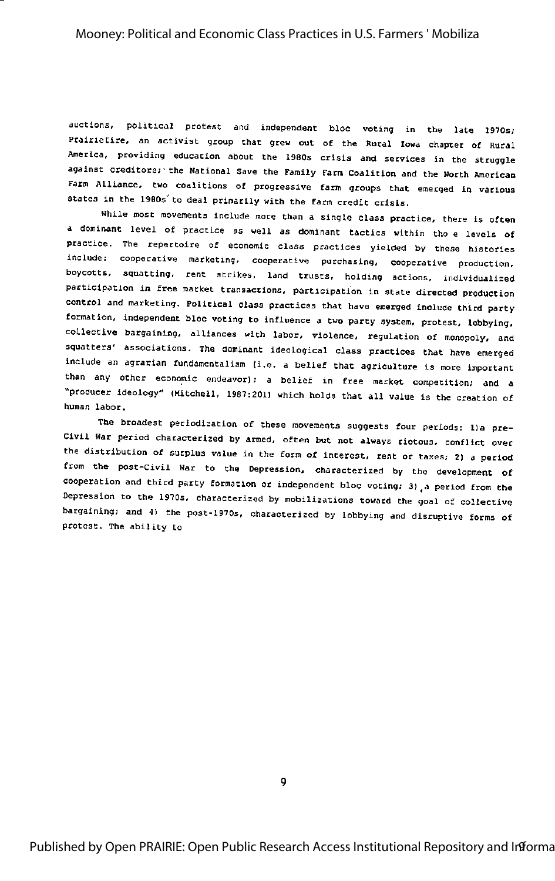auctions, political protest and independent bloc voting in the late 1970s; Prairiefire, an activist group that grew out of the Rural Iowa chapter of Rural America, providing education about the 1980s crisis and services in the struggle against creditors;•the National Save the Family Farm Coalition and the North American Farm Alliance, two coalitions of progressive farm groups that emerged in various states in the 1980s to deal primarily with the farm credit crisis.

While most movements Include more than a single class practice, there is often a dominant level of practice as well as dominant tactics within tho e levels of practice. The repertoire of economic class practices yielded by these histories include; cooperative marketing, cooperative purchasing, cooperative production, boycotts, squatting, rent strikes, land trusts, holding actions, individualised participation in free market transactions, participation in state directed production control and marketing. Political class practices that have emerged include third party formation, independent bloc voting to influence a two party system, protest, lobbying, collective bargaining, alliances with labor, violence, regulation of monopoly, and squatters' associations. The dominant ideological class practices that have emerged include an agrarian fundamentalism {i.e. a belief that agriculture is more important than any other economic endeavor); a belief in free market competition; and a "producer ideology" (Mitchell, 1987:201) which holds that all value is the creation of human labor.

The broadest periodisation of these movements suggests four periods: l)a pre-Civil war period characterized by armed, often but not always riotous, conflict over the distribution of surplus value in the form of interest, rent or taxes; 2) a period from the post-Civil war to the Depression, characterized by the development of cooperation and third party formation or independent bloc voting; 3) a period from the Depression to the 1970s, characterized by mobilizations toward the goal of collective bargaining; and A) the post-1970s, characterized by iobbying and disruptive forms of protest. The ability to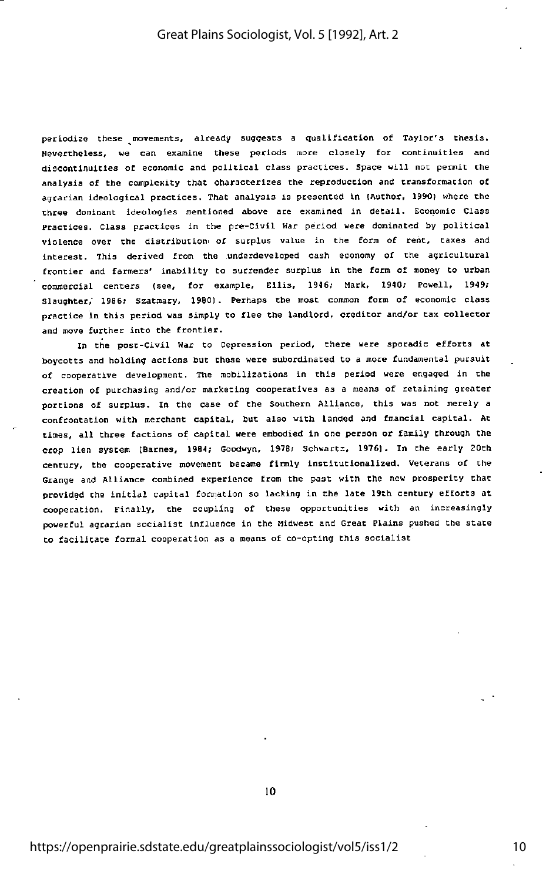periodise these movements, already suggests a qualification of Taylor's thesis. Nevertheless, we can examine these periods more closely for continuities and discontinuities of economic and political class practices. Space will not permit the analysis of the complexity that characterizes the reproduction and transformation of agrarian ideological practices. That analysis is presented in {Author, 1990) where the three dominant ideologies mentioned above ate examined in detail. Economic Class Practices. Class practices in the pre-Civil war period were dominated by political violence over the distribution of surplus value in the form of rent, taxes and interest. This derived from the underdeveloped cash economy of the agricultural frontier and farmers' inability to surrender surplus in the form of money to urban commercial centers (see, for example, Ellis, 1946; Mack, 1940; Powell, 1949; Slaughter, 1986; Szatmary, 1980). Perhaps the most common form of economic class practice in this period was simply to flee the landlord, creditor and/or tax collector and move further into the frontier.

In the post-Civil War to Depression period, there were sporadic efforts at boycotts and holding actions but these were subordinated to a more fundamental pursuit of cooperative development. The mobilizations in this period were engaged in the creation of purchasing and/or marketing cooperatives as a means of retaining greater portions of surplus. In the case of the Southern Alliance, this was not merely a confrontation with merchant capital, but also with landed and fmancial capital. At times, all three factions of capital were embodied in one person or family through the crop lien system (Barnes, 1984; Goodwyn, 1978; Schwartz, 1976). In Che early 20ch century, the cooperative movement became firmly institutionalized. Veterans of the Grange and Alliance combined experience from the past with the new prosperity that provided the initial capital formation so lacking in the late 19th century efforts at cooperation. Finally, the coupling of these opportunities with an increasingly powerful agrarian socialist influence in the Midwest and Great Plains pushed the state to facilitate formal cooperation as a means of co-opting this socialist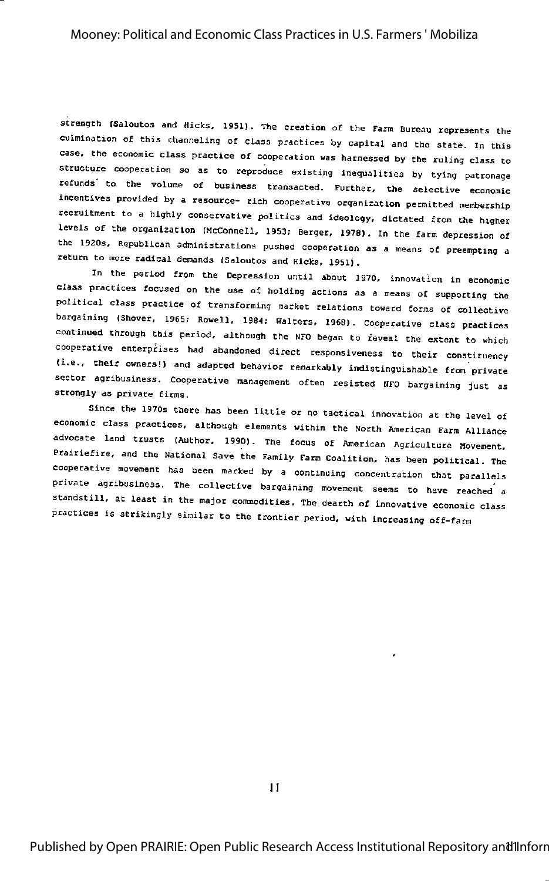## Mooney: Political and Economic Class Practices in U.S. Farmers ' Mobiliza

strength (Saloutos and Hicks, 1951). The creation of the Farm Bureau represents the culmination of this channeling of class practices by capital and the state. In this case, the economic class practice of cooperation was harnessed by the ruling class to structure cooperation so as to reproduce existing inequalities by tying patronage refunds to the volume of business transacted. Further, the selective economic incentives provided by a resource- rich cooperative organization permitted membership recruitment to a highly conservative politics and ideology, dictated from the higher levels Of the organization (McConnell. 1953; Berger. 1978). In the farm depression of the 1920s. Republican administrations pushed cooperation as a means of preempting a return to more radical demands (Saloutos and Hicks, 1951).

In the period from the Depression until about 1970, innovation in economic class practices focused on the use of holding actions as a means of supporting the political class practice of transforming market relations toward forms of collective bargaining (Shover. 1965; Rowell. 1984; Walters. 1968). Cooperative class practices continued through this period, although the NFO began to reveal the extent to which cooperative enterprises had abandoned direct responsiveness to their constituency<br>(i.e., their owners!) and adapted behavior remarkably indistinguishable from private sector agribusiness. Cooperative management often resisted NFO bargaining just as strongly as private firms.

Since the 1970s there has been little or no tactical innovation at the level of economic class practices, although elements within the North American Farm Alliance advocate land trusts (Author. 1990). The focus of American Agriculture Movement. Ptairiefire. and the National Save the Family Farm Coalition, has been political. The cooperative movement has been marked by a continuing concentration that parallels private agribusiness. The collective bargaining movement seems to have reached a standstill, at least in the major commodities. The dearth of innovative economic class practices is strikingly similar to the frontier period, with increasing off-fatm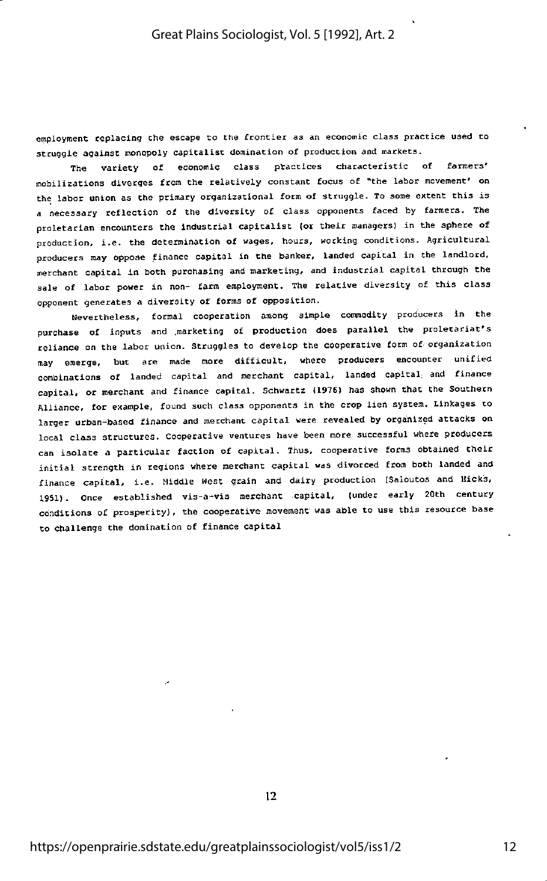employment replacing the escape to the frontier as an economic class practice used to struggle against monopoly capitalist domination of production and markets.

The variety of economic class practices characteristic of farmers' mobilizations diverges from the relatively constant focus of "the labor movement' on the labor union as Che primary organizational form of struggle. To some extent this is a necessary reflection of the diversity of class opponents faced by farmers. The proletarian encounters the industrial capitalist (or their managers) in the sphere of production, i.e. the determination of wages, hours, working conditions. Agricultural producers may oppose finance capital in the banker, landed capital in the landlord, merchant capital in both purchasing and marketing, and industrial capital through the sale of labor power in non- farm employment. The relative diversity of this class opponent generates a diversity of forms of opposition.

Nevertheless, formal cooperation among simple commodity producers in the purchase of inputs and .marketing of production does parallel the proletariat's reliance on the labor union. Struggles to develop the cooperative form of organization may emerge, but are made more difficult, where producers encounter unified combinations of landed capital and merchant capital, landed capital, and finance capital, or merchant and finance capital. Schwartz (1976) has shown that Che Southern Alliance, for example, found such class opponents in the crop lien system. Linkages to larger urban-based finance and merchant capital were revealed by organized attacks on local class structures. Cooperative ventures have been more successful where producers can isolate a particular faction of capital. Thus, cooperative forms obtained their initial strength in regions where merchant capital was divorced from both landed and finance capital, i.e. Middle West grain and dairy production (Saloutos and Hicks,<br>1951), Once established vis-a-vis merchant capital, (under early 20th century 1951). Once established vis-a-vis merchant capital, conditions of prosperity), the cooperative movement was able to use this resource base to challenge the domination of finance capital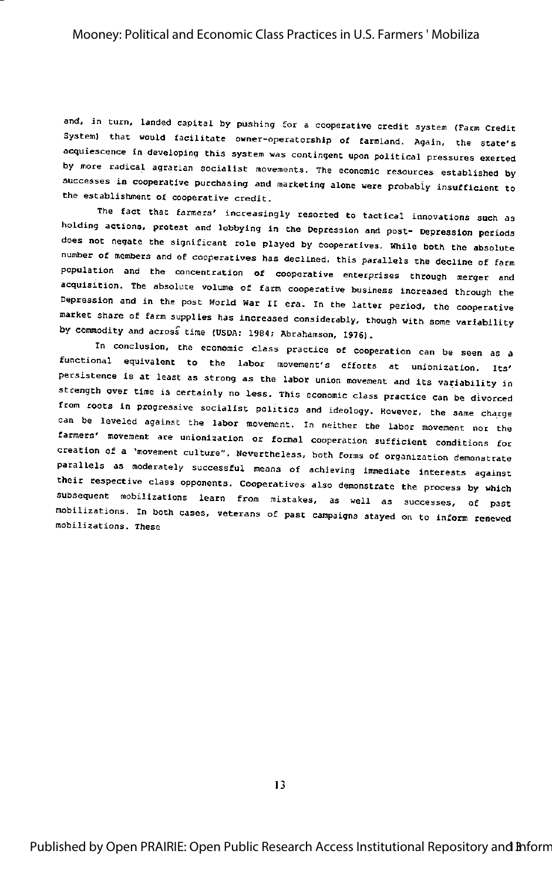and, in turn, landed capital by pushing for a cooperative credit system (Farm Credit System) that would facilitate owner-operatorship of farmland. Again, the state's acquiescence in developing this system was contingent upon political pressures exerted by more radical agrarian socialist movements. The economic resources established by successes in cooperative purchasing and marketing alone were probably insufficient to the establishment of cooperative credit.

The fact that farmers' increasingly resorted to tactical innovations such as holding actions, protest and lobbying in the Depression and post- Depression periods does not negate the significant role played by cooperatives. While both the absolute number of members and of cooperatives has declined, this parallels the decline of farm population and the concentration of cooperative enterprises through merger and acquisition. The absolute volume of farm cooperative business increased through the Depression and in the post World War II era. In the latter period, the cooperative market share of farm supplies has increased considerably, though with some variability by commodity and across time (USDA: 1984; Abrahamson, 1976).

In conclusion, the economic class practice of cooperation can be seen as a functional equivalent to the labor movement's efforts at unionization. Its' persistence is at least as strong as the labor union movement and its variability in strength over time is certainly no less. This economic class practice can be divorced from roots in progressive socialist politics and ideology. However, the same charge can be leveled against the labor movement. In neither the labor movement nor the farmers' movement are unionization or formal cooperation sufficient conditions for creation of a 'movement culture". Nevertheless, both forms of organization demonstrate parallels as moderately successful means of achieving immediate interests against their respective class opponents. Cooperatives also demonstrate the process by which subsequent mobilizations learn from mistakes, as well as successes, of past mobilizations. In both cases, veterans of past campaigns stayed on to inform renewed mobilizations. These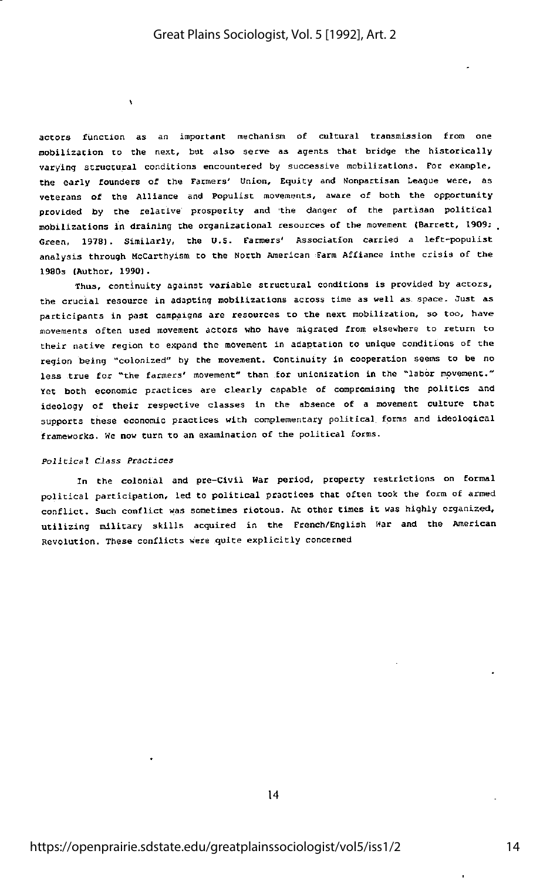actocs function as an important mechanism of cultural transmission from one mobilization to the next, but also serve as agents that bridge the historically varying structural conditions encountered by successive mobilizations. For example, the early founders of the Fanners' Union, Equity and Nonpartisan League were, as veterans of the Alliance and Populist movements, aware of both the opportunity provided by the relative prosperity and the danger of the partisan political mobilizations in draining the organizational resources of the movement (Barrett, 1909; . Green, 1978). Similarly, the U.S. Farmers' Association carried a left-populist analysis through McCarthyism to the North American Farm Affiance inthe crisis of Che 1980s (Author, 1990).

Thus, continuity against variable structural conditions is provided by actors, the crucial resource in adapting mobilizations across time as well as, space. Oust as participants in past campaigns are resources to the next mobilization, so too. have movements often used movement actors who have migrated from elsewhere to return to their native region to expand the movement in adaptation to unique conditions of the region being "colonized" by the movement. Continuity in cooperation seems to be no less true for "the farmers' movement" than for unionization in the "labor movement." Yet both economic practices are clearly capable of compromising the politics and ideology of their respective classes in the absence of a movement culture that supports these economic practices with complementary political forms and ideological frameworks. We now turn to an examination of the political forms.

## Political Class Practices

 $\lambda$ 

In Che colonial and pre-Civil War period, property restrictions on formal political participation, led to political practices that often took the form of armed conflict. Such conflict was sometimes riotous. At other times it was highly organized, utilizing military skills acquired in the French/English War and the American Revolution. These conflicts were quite explicitly concerned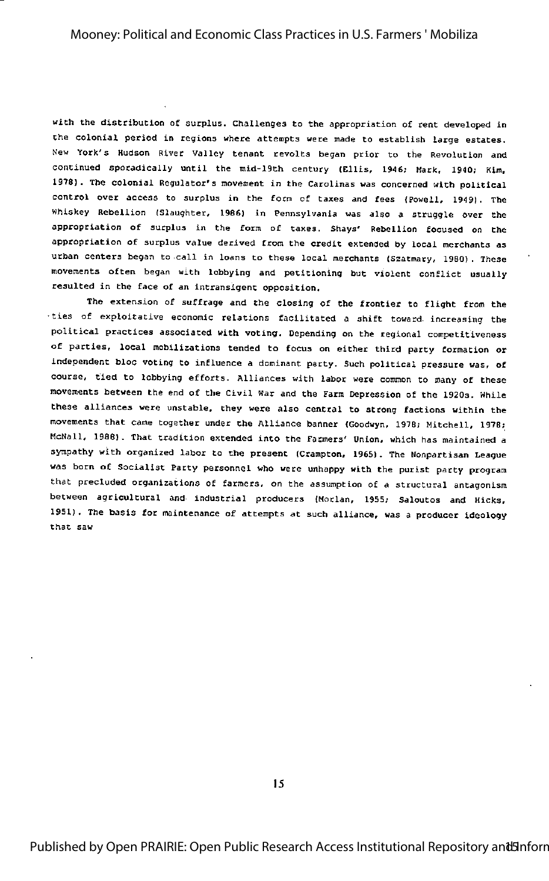## Mooney: Political and Economic Class Practices in U.S. Farmers ' Mobiliza

with the distribution of surplus. Challenges to the appropriation of rent developed in the colonial period in regions where attempts were made to establish large estates. New York's Hudson River Valley tenant revolts began prior to the Revolution and continued sporadically until the mid-19ch century (Ellis, 1946; Mark, 1940; Kim, 1978). The colonial Regulator's movement in the Carolinas was concerned with political control over access to surplus in the form of taxes and fees (Powell, 1949). The Whiskey Rebellion (Slaughter, 1986] in Pennsylvania was also a struggle over the appropriation of surplus in the form of taxes. Shays' Rebellion focused on the appropriation of surplus value derived from the credit extended by local merchants as urban centers began to call in loans to these local merchants (Szatmaty, 1980) . These movements often began with lobbying and petitioning but violent conflict usually resulted in the face of an intransigent opposition.

The extension of suffrage and the closing of the frontier to flight from the -ties of exploitative economic relations facilitated a shift toward increasing the political practices associated with voting. Depending on the regional competitiveness of patties, local mobilizations tended to focus on either third party formation or independent bloc voting to influence a dominant party. Such political pressure was, of course, tied to lobbying efforts. Alliances with labor were common to many of these movements between the end of the Civil War and the Farm Depression of the 1920s. While these alliances were unstable, they were also central to strong factions within the movements that came together under the Alliance banner (Goodwyn, 1978; Mitchell, 1978; McNall, 1988). That tradition extended into the Farmers' Onion, which has maintained a sympathy with organized labor to the present (Crampton, 196S). The Nonpartisan League was born of Socialist Party personnel who were unhappy with the purist party program that precluded organizations of farmers, on the assumption of a structural antagonism between agricultural and. industrial producers (Motlan, 1955; Saloutos and Hicks, 1951). The basis for maintenance of attempts at such alliance, was a producer ideology that saw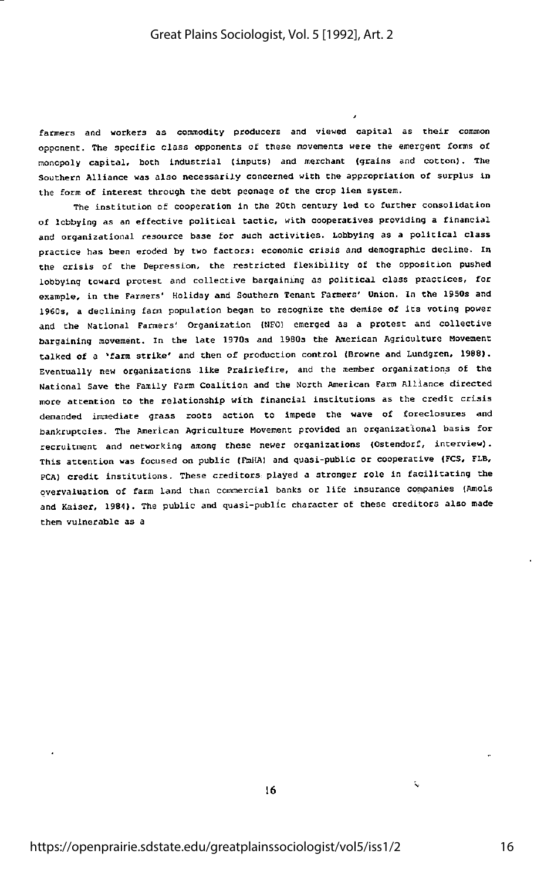farmers and workers as commodity producers and viewed capital as their common opponent. The specific class opponents of these movements were the emergent forms of monopoly capital, both industrial (inputs) and merchant (grains and cotton). The Southern Alliance was also necessarily concerned with Che appropriation of surplus in the form of interest through the debt peonage of the crop lien system.

The institution of cooperation in the 20th century led to further consolidation of lobbying as an effective political tactic, with cooperatives providing a financial and organizational resource base for such activities. Lobbying as a political class practice has been eroded by two factors: economic crisis and demographic decline. In the crisis of the Depression, the restricted flexibility of the opposition pushed lobbying coward protest and collective bargaining as political class practices, for example, in the Farmers' Holiday and Southern Tenant Farmers' Union. In the 1950s and 1960s, a declining fann population began to recognize the demise of its voting power and the National Farmers' Organization (NFC) emerged as a protest and collective bargaining movement. In the late 1970s and 1980s the American Agriculture Movement talked of a 'farm strike' and then of production control (Browne and Lundgren, 1988). Eventually new organizations like Prairiefire, and the member organizations of the National Save Che Family Farm Coalition and the North American Farm Alliance directed more attention to the relationship with financial institutions as the credit crisis demanded immediate grass roots action to impede Che wave of foreclosures and bankruptcies. The American Agriculture Movement provided an organizational basis for recruitment and networking among these newer organizations (Ostendorf, interview). This attention was focused on public (FmHA) and quasi-public or cooperative (FCS, FLB, PCA) credit institutions. These creditors played a stronger role in facilitating the overvaluation of farm land than commercial banks or life insurance companies (Amols and Kaiser, 1984). The public and quasi-public character of these creditors also made them vulnerable as <sup>a</sup>

Ň.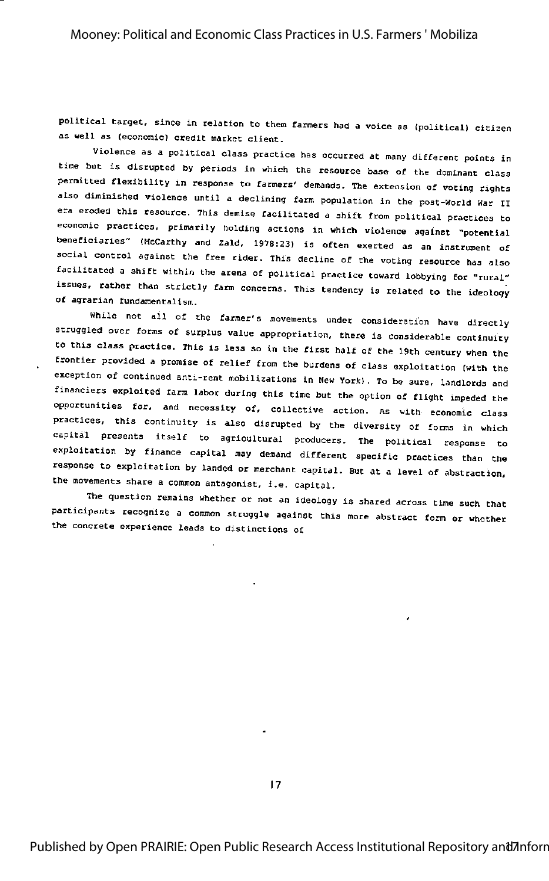political target, since in teiation to them farmers had a voice as (poiitical) citizen as well as (economic) credit market client.

Violence as a political class practice has occurred at many different points in time but is disrupted by periods in which the resource base of the dominant class permitted flexibility in response to farmers' demands. The extension of voting rights also diminished violence until a declining farm population in the post-World War II era eroded this resource. This demise facilitated a shift from political practices to economic practices, primarily holding actions in which violence against "potential beneficiaries" (McCarthy and Zald, 1978:23) is often exerted as an instrument of social control against the free rider. This decline of the voting resource has also facilitated a shift within the arena of political practice toward lobbying for "rural" issues, rather than strictly farm concerns. This tendency is related to the ideology of agrarian fundamentalism.

While not all of the farmer's movements under consideration have directly struggled over forms of surplus value appropriation, there is considerable continuity to this class practice. This is less so in the first half of the 19th century when the frontier provided a promise of relief from the burdens of class exploitation (with the exception of continued anti-rent mobilizations in New York). To be sure, landlords and financiers exploited farm labor during this time but the option of flight impeded the opportunities for. and necessity of. collective action. As with economic class practices, this continuity is also disrupted by the diversity of forms in which capital presents itself to agricultural producers. The political response to exploitation by finance capital may demand different specific practices than the response to exploitation by landed or merchant capital. But at a level of abstraction, the movements share a common antagonist, i.e. capital.

The question remains whether or not an ideology is shared across time such that participants recognize a common struggle against this more abstract form or whether the concrete experience leads to distinctions of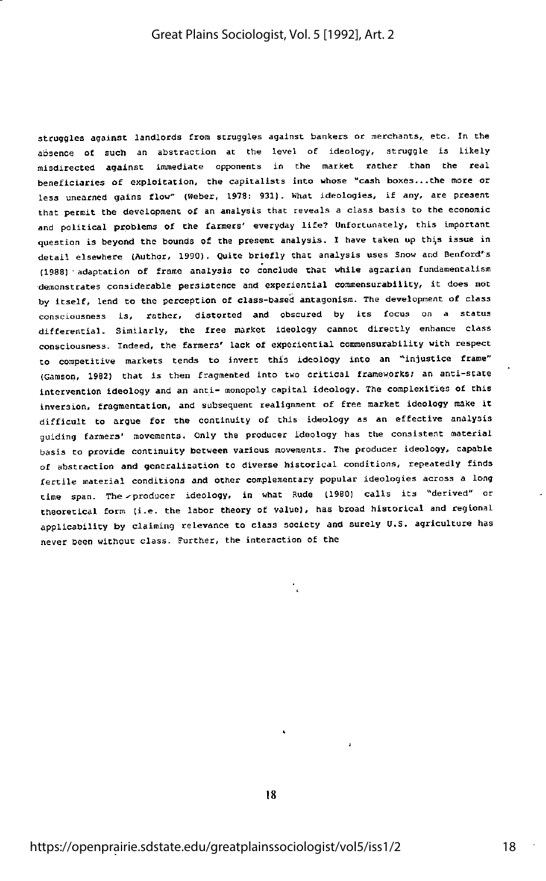struggles against landlords from struggles against bankets or merchants,, etc. In the absence of such an abstraction at Che level of ideology, struggle is likely misdirected against immediate opponents in the market rather than the teal beneficiaries of exploitation, the capitalists into whose "cash boxes..-the more or iess unearned gains flow" (Weber, 1978: 931). What ideologies, if any, are present that permit the development of an analysis that reveals a class basis to the economic and political problems of the farmers' everyday life? Unfortunately, this Important question is beyond the bounds of the present analysis. I have taken up this issue in detail elsewhere (Author, 1990). Quite briefly that analysis uses Snow and Benfotd's (1988)•adaptation of frame analysis to conclude that while agrarian fundamencaiism demonstrates considerable persistence and experiential coramensurability, it does not by itself, lend to the perception of class-based antagonism. The development of class consciousness is, rather, distorted and obscured by its focus on a status differential. Similarly, Che free market ideology cannot directly enhance class consciousness. Indeed, the farmers' lack of experiential commensurability with respect to competitive markets tends to invert this ideology into an "injustice frame" (Gamson, 1982) that is then fragmented into two critical frameworks; an anti-state intervention ideology and an anti- monopoly capital ideology. The complexities of this inversion, fragmentation, and subsequent realignment of free market ideology make it difficult to argue for the continuity of this ideology as an effective analysis guiding farmers' movements. Only the producer ideology has the consistent material basis to provide continuity between various movements. The producer ideology, capable of abstraction and generalization to diverse historical conditions, repeatedly finds fertile material conditions and other complementary popular ideologies across a long time span. The producer ideology, in what Rude (1980) calls its "derived" or theoretical form (i.e. the labor theory of value), has broad historical and regional applicability by claiming relevance to class society and surely U.S. agriculture has never been without class. Further, the interaction of the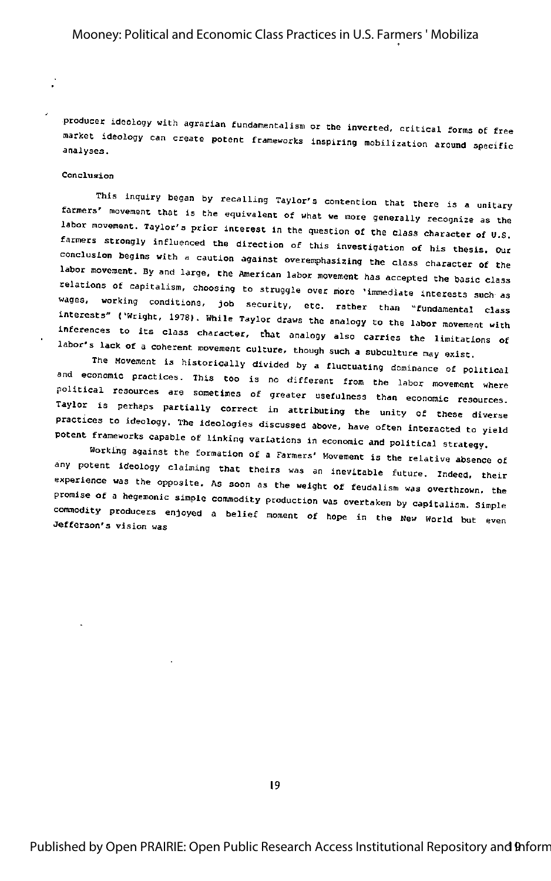producer ideology «ith agrarian fundamentalisn, or the inverted, critical forn^s of free market ideology can create potent frameworks inspiring mobilization around specific analyses.

### Concluaion

This inquiry began by recalling Taylor's contention that there is a unitary<br>farmers' movement that is the equivalent of what we more generally recognize as the labor movement. Taylor's prior interest in the question of the class character of U.S. farmers strongly influenced the direction of this investigation of his thesis. Our conclusion begins with a caution against overemphasizing the class character of the labor movement. By and large, the American labor movement has accepted the basic class te ations of capitalism, choosing to struggle over more •immediate Interests such as wages, working conditions. Job security, etc. rather than "fundamental class interests" ('Wright, 1978). While Taylor draws the analogy to the labor movement with inferences to its class character, that analogy also carries the limitations of labor's lack of a coherent movement culture, though such a subculture may exist.

The Movement is historically divided by a fluctuating dominance of political and economic practices. This too is no different from the labor movement where poltical resources are sometimes of greater usefulness than economic resources Taylor is perhaps partially correct in attributing the unity of these diverse practices to ideology. The Ideologies discussed above, have often interacted to yield potent frameworks capable of Unking variations in economic and political strategy.

working against the formation of a Farmers' Movement is the relative absence of any potent ideology claiming that theirs was an inevitable future. Indeed, their experience was the opposite. As soon as the weight of feudalism was overthrown, the promise of a hegemonic simple commodity production was overtaken by capitalism. Simple<br>commodity producers enjoyed a belief moment of hope in the New World but even Jefferson's vision was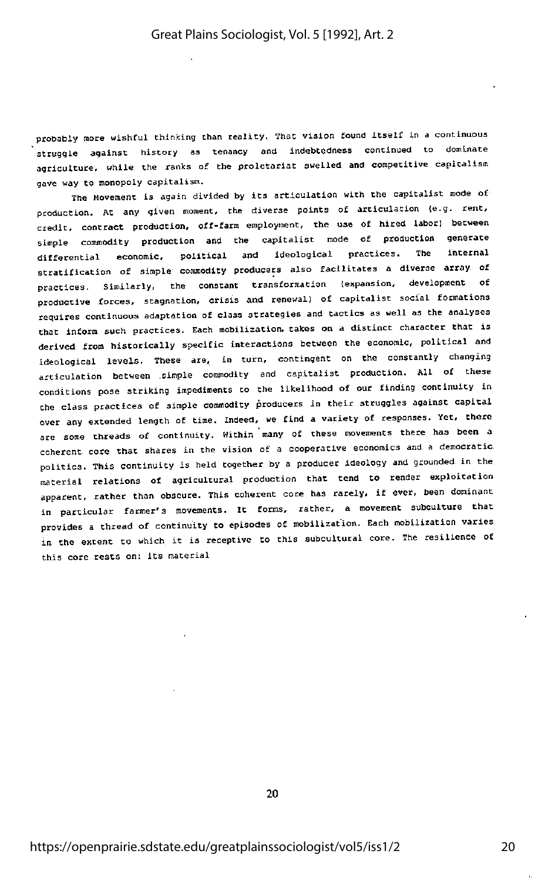probably more wishful thinking than reality. That vision found itself in a continuous struggle against history as tenancy and indebtedness continued to dominate agriculture, while the ranks of the proletariat swelled and competitive capitalism gave way to monopoly capitalism.

The Movement is again divided by its articulation with the capitalist mode of production. At any given moment, the diverse points of articulation (e.g. rent, credit, contract production, off-farm employment, the use of hired iaborl between simple commodity production and the capitalist mode of production generate<br>differential economic, political and ideological practices. The internal differential economic, political and stratification of simple commodity producers also facilitates a diverse array of practices. Similarly, the constant transformation (expansion, development productive forces, stagnation, crisis and renewal) of capitalist social formations requires continuous adaptation of class strategies and tactics as well as the analyses that inform such practices. Each mobilization, takes on a distinct character that is derived from historically specific interactions between the economic, political and ideological levels. These are, in turn, contingent on the constantly changing articulation between simple commodity and capitalist production. All of these conditions pose striking impediments to the likelihood of our finding continuity in the class practices of simple commodity producers in their struggles against capital over any extended length of time. Indeed, we find a variety of responses. Yet, there are some threads of continuity. Within 'many of these movements there has been a coherent core that shares in the vision of a cooperative economics and a democratic politics. This continuity is held together by a producer ideology and grounded in the material relations of agricultural production that tend to render exploitation apparent, rather than obscure. This coherent core has rarely, if ever, been dominant in particular fanner's movements. It forms, rather, a movement subculture that provides a thread of continuity to episodes of mobilization. Each mobilization varies in the extent to which it is receptive to this subcultural core. The resilience of this core rests on: its material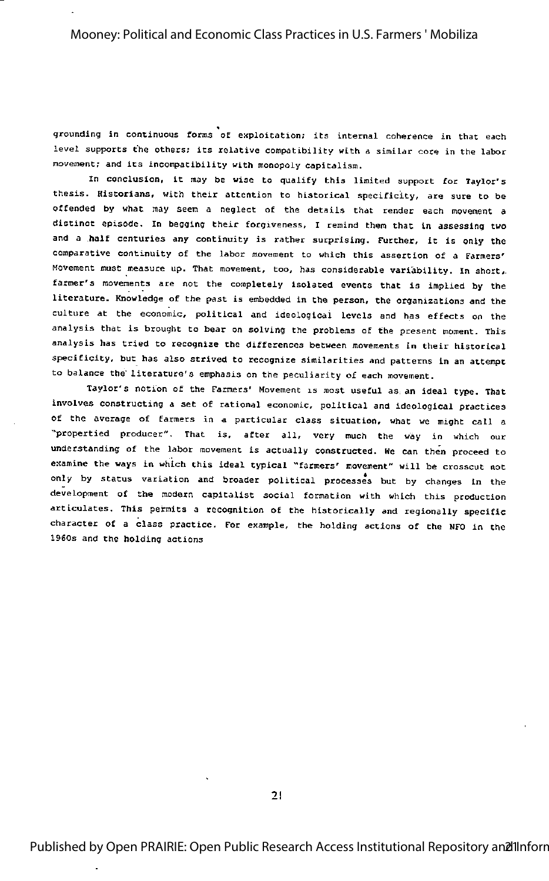grounding in continuous forms of exploitation; its internal coherence in that each level supports the others; its relative compatibility with <sup>a</sup> similar core in the labor movement; and its incompatibility with monopoly capitalism.

In conclusion, it may be wise to qualify this limited support for Taylor's thesis. Historians, with their attention to historical specificity, are sure to be offended by what may seem a neglect of the details chat render each movement a distinct episode. In begging their forgiveness, I remind them that in assessing two and a half centuries any continuity is rather surprising. Further, it is only the comparative continuity of the labor movement to which this assertion of a Farmers' Movement must measure up. That movement, too, has considerable variability. In short,, farmer's movements are not the completely isolated events that is implied by the literature. Knowledge of the past is embedded in the person, the organizations and the culture at the economic, political and ideological levels and has effects on the analysis that is brought to bear on solving the problems of the present moment. This analysis has Cried to recognize the differences between movements in their historical specificity, but has also strived to recognize similarities and patterns in an attempt to balance the literature's emphasis on the peculiarity of each movement.

Taylor's notion of the Farmers' Movement is most useful as an ideal type. That involves constructing a set of rational economic, political and ideological practices of the average of farmers in a particular class situation, what we might call a "propertied producer". That is, after all, very much Che way in which our understanding of the labor movement is actually constructed. We can then proceed to examine the ways in which this ideal typical "farmers' movement" will be crosscut not only by status variation and broader political processes but by changes in the development of the modern capitalist social formation with which this production articulates. This permits a recognition of the historically and regionally specific character of a class practice. For example, the holding actions of the NFO in the 1960s and the holding actions

21

Published by Open PRAIRIE: Open Public Research Access Institutional Repository and Ilnforn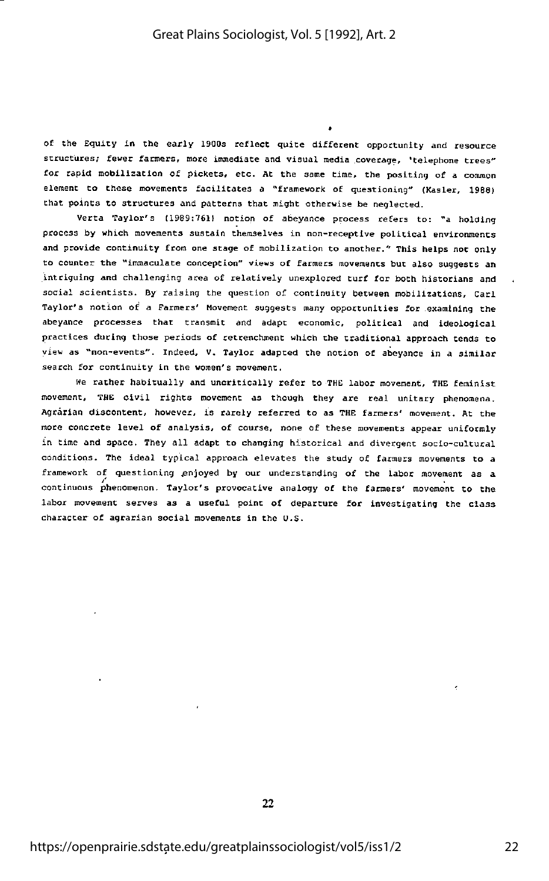of the Equity in the early 1900s reflect quite different opportunity and resource structures; fewer farmers, more immediate and visual media coverage, 'telephone trees" for rapid mobilization of pickets, etc. At the same time, the positing of a common element to these movements facilitates a "framework of questioning" (Kasler, 1980) that points to structures and patterns that might otherwise be neglected.

Verca Taylor's (1989:761) notion of abeyance process refers to: "a holding process by which movements sustain themselves in non-receptive political environments and provide continuity from one stage of mobilization to another." This helps not only to counter the "immaculate conception" views of farmers movements but also suggests an intriguing and challenging area of relatively unexplored turf for both historians and social scientists. By raising the question of continuity between mobilizations, Carl Taylor's notion of a Farmers' Movement suggests many opportunities for examining the abeyance processes that transmit and adapt economic, political and ideological practices during those periods of retrenchment which the traditional approach tends to view as "non-events". Indeed, V. Taylor adapted the notion of abeyance in a similar search for continuity in the women's movement.

We rather habitually and uncritically refer to THE labor movement, THE feminist movement, THE civil rights movement as though they are real unitary phenomena. Agrarian discontent, however, is rateiy referred to as THE farmers' movement. At the mote concrete level of analysis, of course, none of these movements appear uniformly in time and space. They all adapt to changing historical and divergent socio-culcural conditions. The ideal typical approach elevates the study of farmers movements to a framework of questioning enjoyed by our understanding of the labor movement as a continuous phenomenon. Taylor's provocative analogy of the farmers' movement to the labor movement serves as a useful point of departure for investigating the class character of agrarian social movements in the U.S.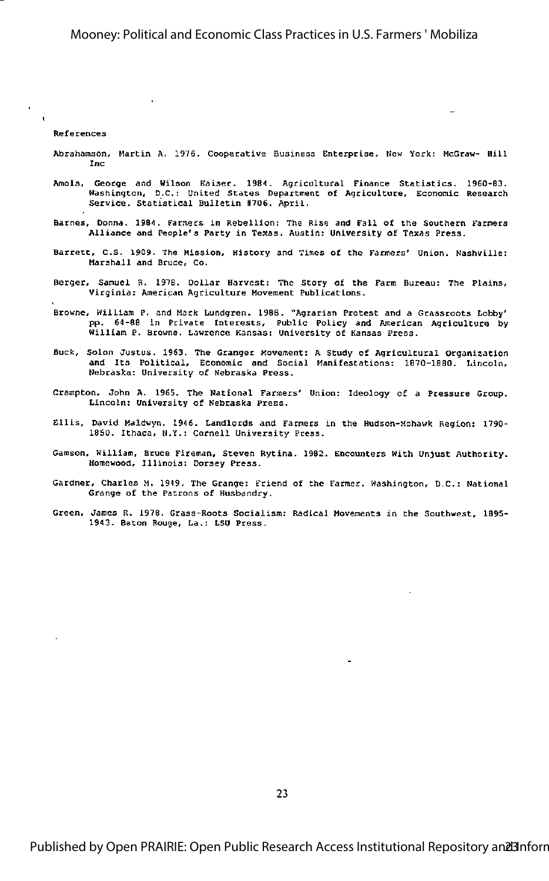#### References

 $\mathbf{I}$ 

- Abrahamaon, Martin A. 1976. Cooperative Business Enterprise. New York: McGraw- Hill Inc
- Amols, George and Wilson Kaiser. 1984. Agricultural Finance Statistics. 1960-83.<br>Washington, D.C.: United States Department of Agriculture, Economic Research Service. Statistical Bulletin #706. April.
- Barnes, Donna. 1904. Farmers in Rebellion: The Rise and Fall of the Southern Farmers Alliance and People's Party in Texas. Austin: University of Texas Press.
- Barrett, C.S. 1909. The Mission, History and Times of the Farmers' Union. Nashville: Marshall and Bruce, Co.
- Berger, Samuel B. 1978. Dollar Harvest: The Story of the Farm Bureau: The Plains, Virginia: American Agriculture Movement Publications.
- Browne, William P. and Mack Lundgren. 1980. "Agrarian Protest and a Grassroots Lobby' pp. 64-88 in Private Interests, Public Policy and American Agriculture by William P. Browne. Lawrence Kansas: University of Kansas Press.
- Buck, Solon Justus. 1963. The Granger Movement: A Study of Agricultural Organisation and Its Political, Economic and Social Manifestations: 1870-1880. Lincoln, Nebraska; University of Nebraska Press.
- Crampton, John A. 1965. The National Farmers' Union: Ideology of a Pressure Group. Lincoln: University of Nebraska Press.
- Ellis, David Maldwyn. 1946. Landlords and Farmers in the Hudson-Mohawk Region: 1790- 1850. Ithaca, N.Y.: Cornell University Press.
- Gamson, William, Bruce Fireman, Steven Rytina. 1982. Encounters With Unjust Authority. Homewood, Illinois: Dorsey Press.
- Gardner, Charles M. 1949. The Grange: Friend of Che Farmer. Washington, D.C.: National Grange of the Patrons of Husbandry.
- Green, James R. 1976. Grass-Roots Socialism: Radical Movements in Che Southwest, 1895- 1943. Baton Rouge, La.: LSU Press.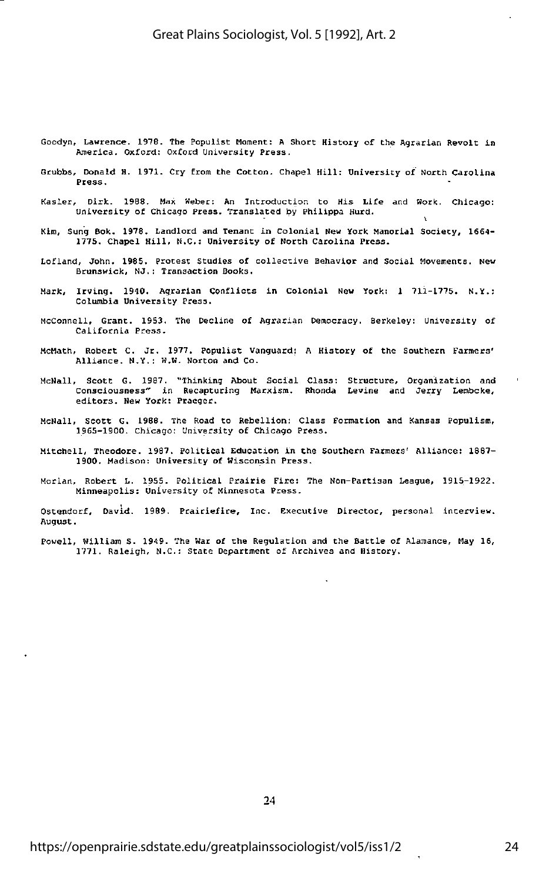- Goodyn, Lawrence. 1976. The Populist Moment: A Short History of the Agrarian Revolt in America. Oxford: Oxford University Press.
- Grubbs, Donald H. 1971. Cry from the Cotton. Chapel Hill: University of North Carolina Press.
- Kasler, Dirk. 1988. Max Weber: An Introduction to His Life and Work. Chicago: University of Chicago Press. Translated by Philippa Hurd.  $\bar{\mathbf{r}}$
- Kim, Sung Bok. 1978. Landlord and Tenant in Colonial New York Manorial Society, 1664- 1775. Chapel Hill, N.C.: University of North Carolina Press.
- Lofland, John. 1985. Protest Studies of collective Behavior and Social Movements. New Brunswick, NJ. : Transaction Books.
- Mark, Irving. 1940. Agrarian Conflicts in Colonial New York: <sup>1</sup> 711-1775. N.Y.: Columbia University Press.
- McConnell, Grant. 1953. The Decline of Agrarian Democracy. Berkeley: University of California Press.
- McMath, Robert C. Jr. 1977. Populist Vanguard: <sup>A</sup> History of the Southern Fanners' Alliance. H.Y.: W.H. Norton and Co.
- McNall, Scott G. 1987. "Thinking About Social Class: Structure, Organization and Consciousness" in Recapturing Marxism. Rhonda Levine and Jerry Lembcke, editors. New York: Praeger.
- McNall, Scott G. 1988. The Road to Rebellion: Class Formation and Kansas Populism, 1965-1900. Chicago: University of Chicago Press.
- Mitchell, Theodore. 1987. Political Education in the Southern Farmers' Alliance: 1887- 1900. Madison: University of Wisconsin Press.
- Morlan, Robert L. 1955. Political Prairie Fire: The Non-Pattisan League, 1915-1922. Minneapolis: University of Minnesota Press.
- Ostendorf, David. 1989. Praiciefire, Inc. Executive Director, personal interview. August.
- Powell, William S. 1949. The War of the Regulation and the Battle of Alaraance, May 16, 1771. Raleigh, N.C.: State Department of Archives and History.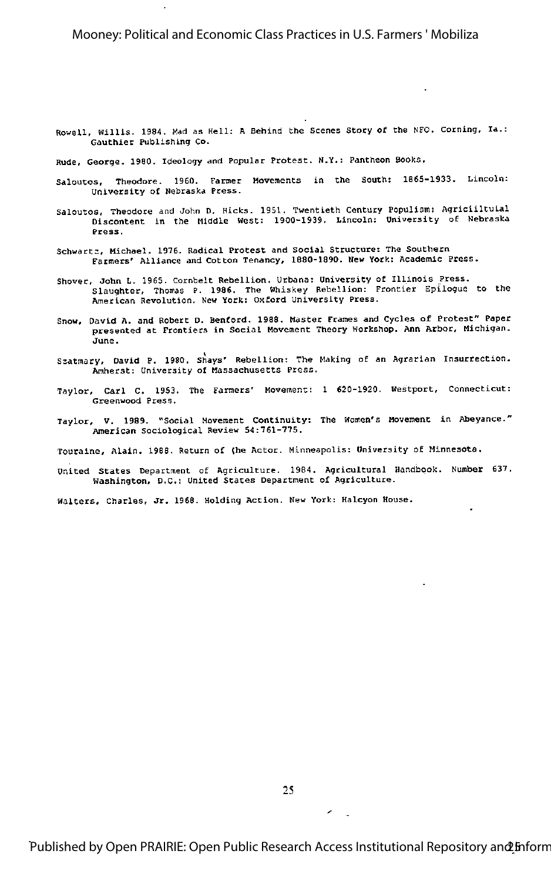Rowell, Willis. 1984. Mad as Hell: <sup>A</sup> Behind the Scenes Stocy of the MFO. Corning, la.: Gauthiec Publishing Co.

 $\cdot$ 

Rude, George. 1980. Ideology and Popular Protest. N.Y.: Pantheon Books.

 $\cdot$ 

- Saloutos, Theodore. 1960. Farmer Movements in the South: 1865-1933. Lincoln: University of Nebraska Press.
- Saloutos, Theodore and John D. Hicks. 1951. Twentieth Century Populism: Agriciiltuial Discontent in the Middle West: 1900-1939. Lincoln: University of Nebraska Press.
- Schwartz. Michael. 1976. Radical Protest and Social Structure: The Southern Farmers' Alliance and Cotton Tenancy, 1880-1890. New York: Academic Press.
- Shover, John L. 1965. Cornbelt Rebellion. Urbana: University of Illinois Press. Slaughter, Thomas P. 1986. The Whiskey Rebellion: Frontier Epilogue to the<br>American Revolution. New York: Oxford University Press.
- Snow, David A. and Robert D. Benford. 1988. Master Frames and Cycles of Protest" Paper presented at Frontiers in Social Movement Theory Workshop. Ann Arbor, Michigan. June.
- Szatmary, David P. 1980. Shays' Rebellion: The Making of an Agrarian Insurrection. Amherst: University of Massachusetts Press.
- Taylor, Carl C. 1953. The Farmers' Movement: 1 620-1920. Westport, Connecticut: Greenwood Press.
- Taylor, V. 1989. "Social Movement Continuity: The Women's Movement in Abeyance." American Sociological Review 54:761-775.

Toucaine, Alain. 1988. Return of (he Actor. Minneapolis: University of Minnesota.

United States Department of Agriculture. 1984. Agricultural Handbook. Number 637. Washington, D.C.: United States Department of Agriculture.

Walters, Charles, Jr. 1968. Holding Action. New York: Halcyon House.

25

 $\overline{\phantom{a}}$